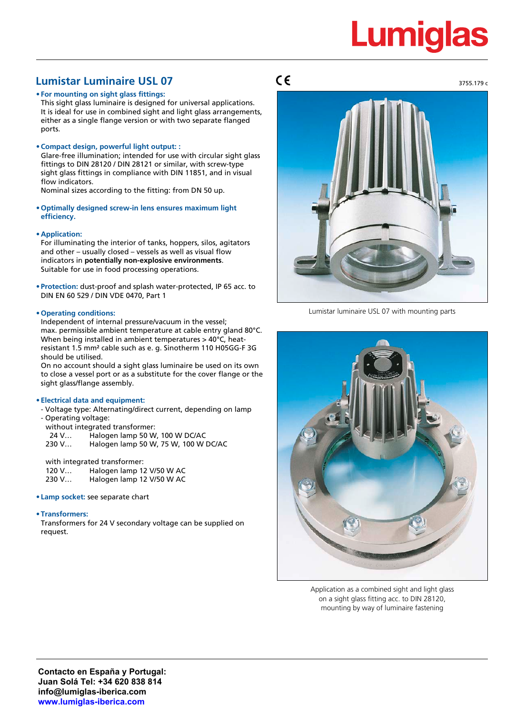# **Lumiglas**

3755.179 c

# **Lumistar Luminaire USL 07**

**• For mounting on sight glass fittings:**

This sight glass luminaire is designed for universal applications. It is ideal for use in combined sight and light glass arrangements, either as a single flange version or with two separate flanged ports.

## **• Compact design, powerful light output: :**

Glare-free illumination; intended for use with circular sight glass fittings to DIN 28120 / DIN 28121 or similar, with screw-type sight glass fittings in compliance with DIN 11851, and in visual flow indicators.

Nominal sizes according to the fitting: from DN 50 up.

**• Optimally designed screw-in lens ensures maximum light efficiency.**

## **• Application:**

For illuminating the interior of tanks, hoppers, silos, agitators and other – usually closed – vessels as well as visual flow indicators in **potentially non-explosive environments**. Suitable for use in food processing operations.

**• Protection:** dust-proof and splash water-protected, IP 65 acc. to DIN EN 60 529 / DIN VDE 0470, Part 1

## **• Operating conditions:**

Independent of internal pressure/vacuum in the vessel; max. permissible ambient temperature at cable entry gland 80°C. When being installed in ambient temperatures > 40°C, heatresistant 1.5 mm² cable such as e. g. Sinotherm 110 H05GG-F 3G should be utilised.

On no account should a sight glass luminaire be used on its own to close a vessel port or as a substitute for the cover flange or the sight glass/flange assembly.

## **• Electrical data and equipment:**

- Voltage type: Alternating/direct current, depending on lamp - Operating voltage:
	- without integrated transformer:
	- 24 V… Halogen lamp 50 W, 100 W DC/AC
	- 230 V… Halogen lamp 50 W, 75 W, 100 W DC/AC

with integrated transformer: 120 V... Halogen lamp 12 V/50 W AC<br>230 V... Halogen lamp 12 V/50 W AC Halogen lamp 12 V/50 W AC

## **• Lamp socket:** see separate chart

## **• Transformers:**

Transformers for 24 V secondary voltage can be supplied on request.

# $C \in$



Lumistar luminaire USL 07 with mounting parts



Application as a combined sight and light glass on a sight glass fitting acc. to DIN 28120, mounting by way of luminaire fastening